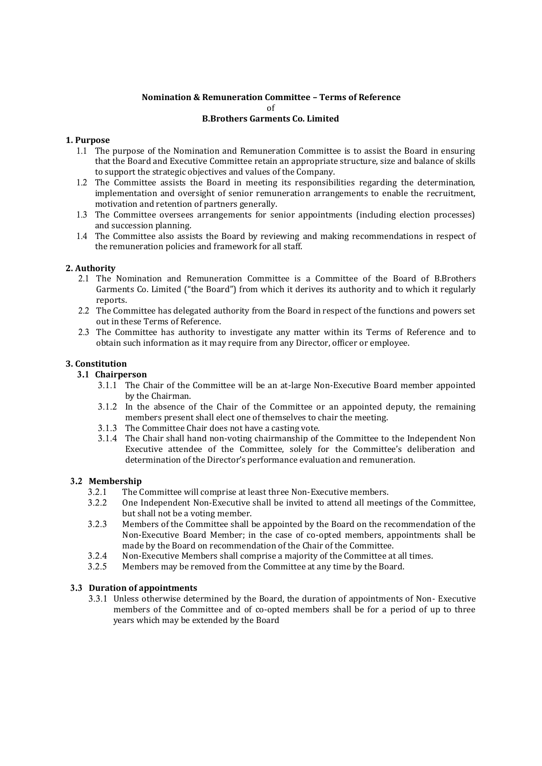# **Nomination & Remuneration Committee – Terms of Reference** of **B.Brothers Garments Co. Limited**

## **1. Purpose**

- 1.1 The purpose of the Nomination and Remuneration Committee is to assist the Board in ensuring that the Board and Executive Committee retain an appropriate structure, size and balance of skills to support the strategic objectives and values of the Company.
- 1.2 The Committee assists the Board in meeting its responsibilities regarding the determination, implementation and oversight of senior remuneration arrangements to enable the recruitment, motivation and retention of partners generally.
- 1.3 The Committee oversees arrangements for senior appointments (including election processes) and succession planning.
- 1.4 The Committee also assists the Board by reviewing and making recommendations in respect of the remuneration policies and framework for all staff.

## **2. Authority**

- 2.1 The Nomination and Remuneration Committee is a Committee of the Board of B.Brothers Garments Co. Limited ("the Board") from which it derives its authority and to which it regularly reports.
- 2.2 The Committee has delegated authority from the Board in respect of the functions and powers set out in these Terms of Reference.
- 2.3 The Committee has authority to investigate any matter within its Terms of Reference and to obtain such information as it may require from any Director, officer or employee.

# **3. Constitution**

# **3.1 Chairperson**

- 3.1.1 The Chair of the Committee will be an at-large Non-Executive Board member appointed by the Chairman.
- 3.1.2 In the absence of the Chair of the Committee or an appointed deputy, the remaining members present shall elect one of themselves to chair the meeting.
- 3.1.3 The Committee Chair does not have a casting vote.
- 3.1.4 The Chair shall hand non-voting chairmanship of the Committee to the Independent Non Executive attendee of the Committee, solely for the Committee's deliberation and determination of the Director's performance evaluation and remuneration.

## **3.2 Membership**

- 3.2.1 The Committee will comprise at least three Non-Executive members.
- 3.2.2 One Independent Non-Executive shall be invited to attend all meetings of the Committee, but shall not be a voting member.
- 3.2.3 Members of the Committee shall be appointed by the Board on the recommendation of the Non-Executive Board Member; in the case of co-opted members, appointments shall be made by the Board on recommendation of the Chair of the Committee.
- 3.2.4 Non-Executive Members shall comprise a majority of the Committee at all times.
- 3.2.5 Members may be removed from the Committee at any time by the Board.

## **3.3 Duration of appointments**

3.3.1 Unless otherwise determined by the Board, the duration of appointments of Non- Executive members of the Committee and of co-opted members shall be for a period of up to three years which may be extended by the Board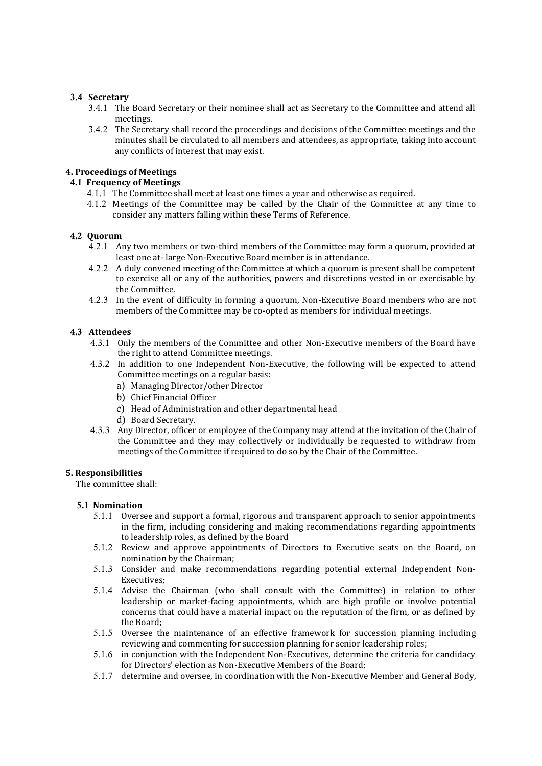## **3.4 Secretary**

- 3.4.1 The Board Secretary or their nominee shall act as Secretary to the Committee and attend all meetings.
- 3.4.2 The Secretary shall record the proceedings and decisions of the Committee meetings and the minutes shall be circulated to all members and attendees, as appropriate, taking into account any conflicts of interest that may exist.

## **4. Proceedings of Meetings**

### **4.1 Frequency of Meetings**

- 4.1.1 The Committee shall meet at least one times a year and otherwise as required.
- 4.1.2 Meetings of the Committee may be called by the Chair of the Committee at any time to consider any matters falling within these Terms of Reference.

### **4.2 Quorum**

- 4.2.1 Any two members or two-third members of the Committee may form a quorum, provided at least one at- large Non-Executive Board member is in attendance.
- 4.2.2 A duly convened meeting of the Committee at which a quorum is present shall be competent to exercise all or any of the authorities, powers and discretions vested in or exercisable by the Committee.
- 4.2.3 In the event of difficulty in forming a quorum, Non-Executive Board members who are not members of the Committee may be co-opted as members for individual meetings.

### **4.3 Attendees**

- 4.3.1 Only the members of the Committee and other Non-Executive members of the Board have the right to attend Committee meetings.
- 4.3.2 In addition to one Independent Non-Executive, the following will be expected to attend Committee meetings on a regular basis:
	- a) Managing Director/other Director
	- b) Chief Financial Officer
	- c) Head of Administration and other departmental head
	- d) Board Secretary.
- 4.3.3 Any Director, officer or employee of the Company may attend at the invitation of the Chair of the Committee and they may collectively or individually be requested to withdraw from meetings of the Committee if required to do so by the Chair of the Committee.

#### **5. Responsibilities**

The committee shall:

#### **5.1 Nomination**

- 5.1.1 Oversee and support a formal, rigorous and transparent approach to senior appointments in the firm, including considering and making recommendations regarding appointments to leadership roles, as defined by the Board
- 5.1.2 Review and approve appointments of Directors to Executive seats on the Board, on nomination by the Chairman;
- 5.1.3 Consider and make recommendations regarding potential external Independent Non-Executives;
- 5.1.4 Advise the Chairman (who shall consult with the Committee) in relation to other leadership or market-facing appointments, which are high profile or involve potential concerns that could have a material impact on the reputation of the firm, or as defined by the Board;
- 5.1.5 Oversee the maintenance of an effective framework for succession planning including reviewing and commenting for succession planning for senior leadership roles;
- 5.1.6 in conjunction with the Independent Non-Executives, determine the criteria for candidacy for Directors' election as Non-Executive Members of the Board;
- 5.1.7 determine and oversee, in coordination with the Non-Executive Member and General Body,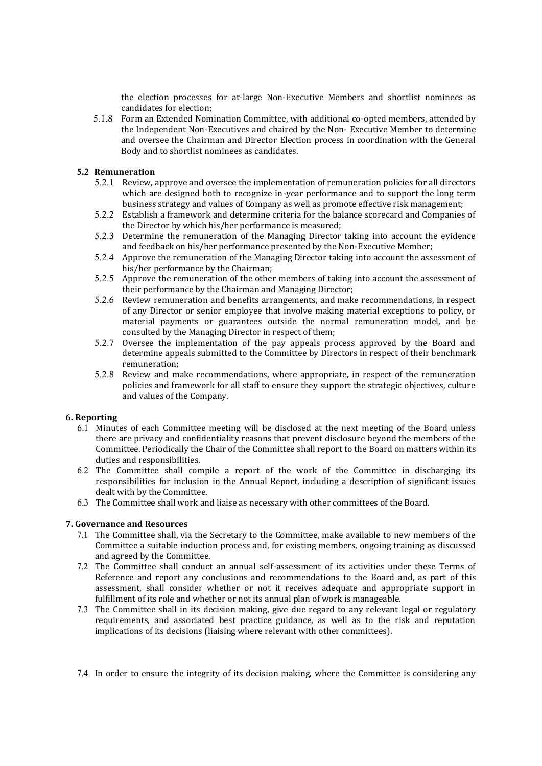the election processes for at-large Non-Executive Members and shortlist nominees as candidates for election;

5.1.8 Form an Extended Nomination Committee, with additional co-opted members, attended by the Independent Non-Executives and chaired by the Non- Executive Member to determine and oversee the Chairman and Director Election process in coordination with the General Body and to shortlist nominees as candidates.

### **5.2 Remuneration**

- 5.2.1 Review, approve and oversee the implementation of remuneration policies for all directors which are designed both to recognize in-year performance and to support the long term business strategy and values of Company as well as promote effective risk management;
- 5.2.2 Establish a framework and determine criteria for the balance scorecard and Companies of the Director by which his/her performance is measured;
- 5.2.3 Determine the remuneration of the Managing Director taking into account the evidence and feedback on his/her performance presented by the Non-Executive Member;
- 5.2.4 Approve the remuneration of the Managing Director taking into account the assessment of his/her performance by the Chairman;
- 5.2.5 Approve the remuneration of the other members of taking into account the assessment of their performance by the Chairman and Managing Director;
- 5.2.6 Review remuneration and benefits arrangements, and make recommendations, in respect of any Director or senior employee that involve making material exceptions to policy, or material payments or guarantees outside the normal remuneration model, and be consulted by the Managing Director in respect of them;
- 5.2.7 Oversee the implementation of the pay appeals process approved by the Board and determine appeals submitted to the Committee by Directors in respect of their benchmark remuneration;
- 5.2.8 Review and make recommendations, where appropriate, in respect of the remuneration policies and framework for all staff to ensure they support the strategic objectives, culture and values of the Company.

#### **6. Reporting**

- 6.1 Minutes of each Committee meeting will be disclosed at the next meeting of the Board unless there are privacy and confidentiality reasons that prevent disclosure beyond the members of the Committee. Periodically the Chair of the Committee shall report to the Board on matters within its duties and responsibilities.
- 6.2 The Committee shall compile a report of the work of the Committee in discharging its responsibilities for inclusion in the Annual Report, including a description of significant issues dealt with by the Committee.
- 6.3 The Committee shall work and liaise as necessary with other committees of the Board.

## **7. Governance and Resources**

- 7.1 The Committee shall, via the Secretary to the Committee, make available to new members of the Committee a suitable induction process and, for existing members, ongoing training as discussed and agreed by the Committee.
- 7.2 The Committee shall conduct an annual self-assessment of its activities under these Terms of Reference and report any conclusions and recommendations to the Board and, as part of this assessment, shall consider whether or not it receives adequate and appropriate support in fulfillment of its role and whether or not its annual plan of work is manageable.
- 7.3 The Committee shall in its decision making, give due regard to any relevant legal or regulatory requirements, and associated best practice guidance, as well as to the risk and reputation implications of its decisions (liaising where relevant with other committees).

7.4 In order to ensure the integrity of its decision making, where the Committee is considering any